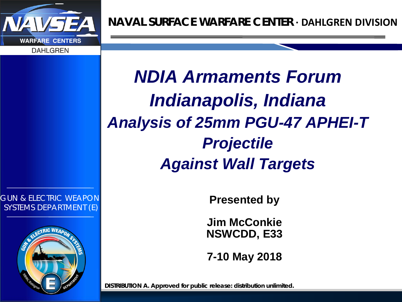

*GUN & ELECTRIC WEAPON SYSTEMS DEPARTMENT (E)*



*NDIA Armaments Forum Indianapolis, Indiana Analysis of 25mm PGU-47 APHEI-T Projectile Against Wall Targets*

**Presented by**

**Jim McConkie NSWCDD, E33**

**7-10 May 2018**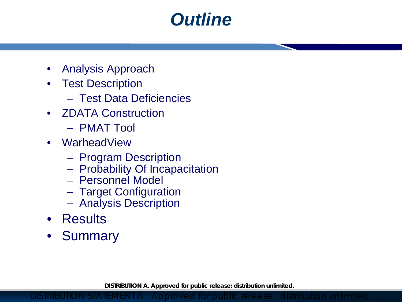### *Outline*

- Analysis Approach
- Test Description
	- Test Data Deficiencies
- ZDATA Construction
	- PMAT Tool
- WarheadView
	- Program Description
	- Probability Of Incapacitation
	- Personnel Model
	- Target Configuration
	- Analysis Description
- Results
- Summary

**DISTRIBUTION A. Approved for public release: distribution unlimited.**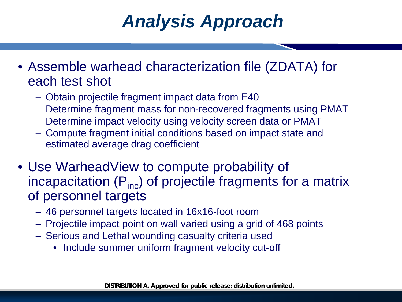## *Analysis Approach*

- Assemble warhead characterization file (ZDATA) for each test shot
	- Obtain projectile fragment impact data from E40
	- Determine fragment mass for non-recovered fragments using PMAT
	- Determine impact velocity using velocity screen data or PMAT
	- Compute fragment initial conditions based on impact state and estimated average drag coefficient
- Use WarheadView to compute probability of incapacitation  $(P_{inc})$  of projectile fragments for a matrix of personnel targets
	- 46 personnel targets located in 16x16-foot room
	- Projectile impact point on wall varied using a grid of 468 points
	- Serious and Lethal wounding casualty criteria used
		- Include summer uniform fragment velocity cut-off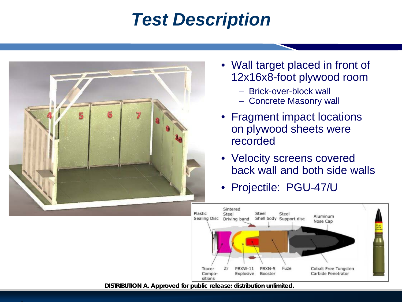### *Test Description*



- Wall target placed in front of 12x16x8-foot plywood room
	- Brick-over-block wall
	- Concrete Masonry wall
- Fragment impact locations on plywood sheets were recorded
- Velocity screens covered back wall and both side walls
- Projectile: PGU-47/U

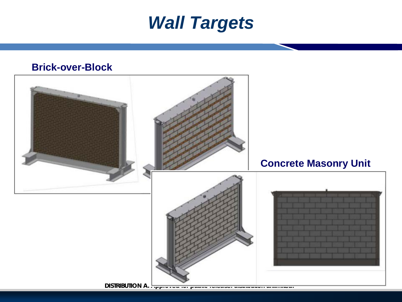#### *Wall Targets*

#### **Brick-over-Block**

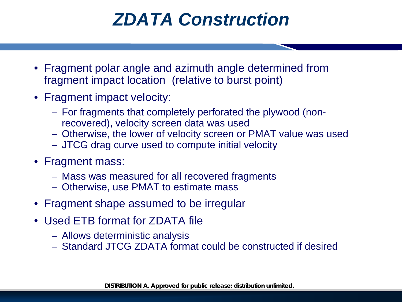### *ZDATA Construction*

- Fragment polar angle and azimuth angle determined from fragment impact location (relative to burst point)
- Fragment impact velocity:
	- For fragments that completely perforated the plywood (nonrecovered), velocity screen data was used
	- Otherwise, the lower of velocity screen or PMAT value was used
	- JTCG drag curve used to compute initial velocity
- Fragment mass:
	- Mass was measured for all recovered fragments
	- Otherwise, use PMAT to estimate mass
- Fragment shape assumed to be irregular
- Used ETB format for ZDATA file
	- Allows deterministic analysis
	- Standard JTCG ZDATA format could be constructed if desired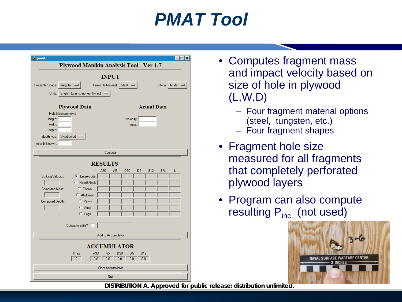### *PMAT Tool*

| pmat                                                                                | $ \Box$ $\times$       |  |  |  |  |
|-------------------------------------------------------------------------------------|------------------------|--|--|--|--|
| Plywood Manikin Analysis Tool - Ver 1.7                                             |                        |  |  |  |  |
|                                                                                     |                        |  |  |  |  |
| <b>INPUT</b>                                                                        |                        |  |  |  |  |
| Projectile Shape:<br>Irregular -<br>Projectile Material: Steel<br>Criteria:<br>Nude |                        |  |  |  |  |
| English (grains, inches, ft/sec) =<br>Units:                                        |                        |  |  |  |  |
|                                                                                     |                        |  |  |  |  |
| <b>Plywood Data</b>                                                                 | <b>Actual Data</b>     |  |  |  |  |
| Hole Measurements:<br>length:<br>velocity:                                          |                        |  |  |  |  |
| width:<br>mass:                                                                     |                        |  |  |  |  |
| depth:                                                                              |                        |  |  |  |  |
| Unadjusted =<br>depth type:                                                         |                        |  |  |  |  |
| mass (if known):                                                                    |                        |  |  |  |  |
| Compute                                                                             |                        |  |  |  |  |
|                                                                                     |                        |  |  |  |  |
| <b>RESULTS</b>                                                                      |                        |  |  |  |  |
| A30<br>A <sub>5</sub><br>D30<br>D <sub>5</sub>                                      | <b>S12</b><br>S/L<br>L |  |  |  |  |
| Striking Velocity:<br>C Entire-Body<br>C Head&Neck                                  |                        |  |  |  |  |
| C Thorax                                                                            |                        |  |  |  |  |
| Computed Mass:<br>C Abdomen                                                         |                        |  |  |  |  |
| C Pelvis<br>Computed Depth:                                                         |                        |  |  |  |  |
| C Arms                                                                              |                        |  |  |  |  |
| $C$ Legs                                                                            |                        |  |  |  |  |
|                                                                                     |                        |  |  |  |  |
| Output to a file? $\square$                                                         |                        |  |  |  |  |
| Add to Accumulator                                                                  |                        |  |  |  |  |
|                                                                                     |                        |  |  |  |  |
| <b>ACCUMULATOR</b>                                                                  |                        |  |  |  |  |
| A <sub>5</sub><br><b>S12</b><br># hits<br>A30<br>D30<br>D <sub>5</sub>              |                        |  |  |  |  |
| 0<br>0.0<br>0.0<br>0.0<br>0.0<br>0.0                                                |                        |  |  |  |  |
| Clear Accumulator                                                                   |                        |  |  |  |  |
| Quit                                                                                |                        |  |  |  |  |

- Computes fragment mass and impact velocity based on size of hole in plywood (L,W,D)
	- Four fragment material options (steel, tungsten, etc.)
	- Four fragment shapes
- Fragment hole size measured for all fragments that completely perforated plywood layers
- Program can also compute resulting  $P_{inc}$  (not used)

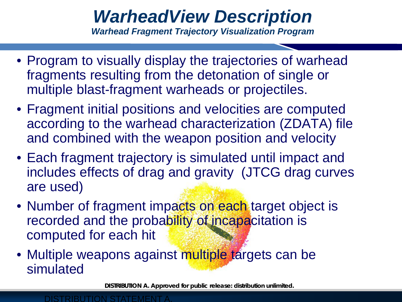# *WarheadView Description*

*Warhead Fragment Trajectory Visualization Program*

- Program to visually display the trajectories of warhead fragments resulting from the detonation of single or multiple blast-fragment warheads or projectiles.
- Fragment initial positions and velocities are computed according to the warhead characterization (ZDATA) file and combined with the weapon position and velocity
- Each fragment trajectory is simulated until impact and includes effects of drag and gravity (JTCG drag curves are used)
- Number of fragment impacts on each target object is recorded and the probability of incapacitation is computed for each hit
- Multiple weapons against multiple targets can be simulated

**DISTRIBUTION A. Approved for public release: distribution unlimited.** 

#### DISTRIBUTION STATEMENT A.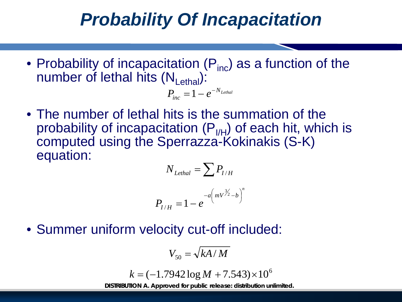### *Probability Of Incapacitation*

• Probability of incapacitation  $(P_{inc})$  as a function of the number of lethal hits  $(N_{\text{Lethal}})$ :

$$
P_{inc} = 1 - e^{-N_{Lethal}}
$$

• The number of lethal hits is the summation of the probability of incapacitation  $(P_{I/H})$  of each hit, which is computed using the Sperrazza-Kokinakis (S-K) equation:

$$
N_{\text{Lethal}} = \sum P_{I/H}
$$

$$
P_{I/H} = 1 - e^{-a\left(mV^{\frac{3}{2}} - b\right)^n}
$$

• Summer uniform velocity cut-off included:

$$
V_{50} = \sqrt{kA/M}
$$

$$
k = (-1.7942 \log M + 7.543) \times 10^6
$$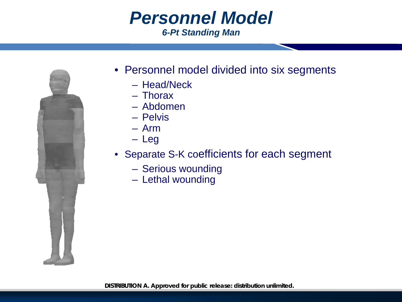#### *Personnel Model 6-Pt Standing Man*



- Personnel model divided into six segments
	- Head/Neck
	- Thorax
	- Abdomen
	- Pelvis
	- Arm
	- Leg
- Separate S-K coefficients for each segment
	- Serious wounding
	- Lethal wounding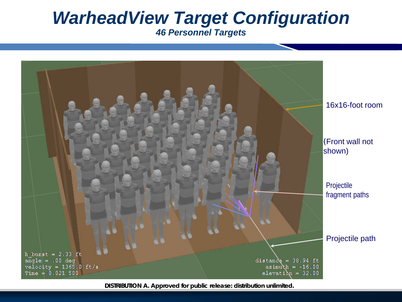#### *WarheadView Target Configuration 46 Personnel Targets*

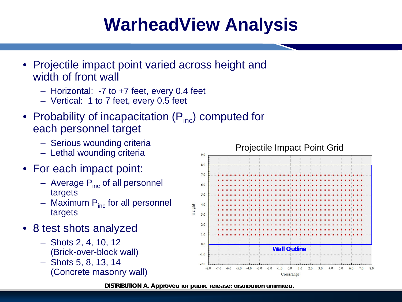# **WarheadView Analysis**

- Projectile impact point varied across height and width of front wall
	- Horizontal: -7 to +7 feet, every 0.4 feet
	- Vertical: 1 to 7 feet, every 0.5 feet
- Probability of incapacitation  $(P_{inc})$  computed for each personnel target
	- Serious wounding criteria
	- Lethal wounding criteria
- For each impact point:
	- $-$  Average  $P_{inc}$  of all personnel targets
	- Maximum  $P_{inc}$  for all personnel targets
- 8 test shots analyzed
	- Shots 2, 4, 10, 12 (Brick-over-block wall)
	- Shots 5, 8, 13, 14 (Concrete masonry wall)

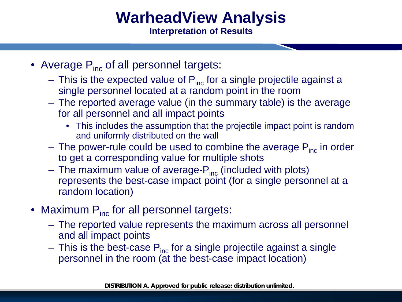#### **WarheadView Analysis Interpretation of Results**

- Average  $P_{inc}$  of all personnel targets:
	- This is the expected value of  $P_{inc}$  for a single projectile against a single personnel located at a random point in the room
	- The reported average value (in the summary table) is the average for all personnel and all impact points
		- This includes the assumption that the projectile impact point is random and uniformly distributed on the wall
	- The power-rule could be used to combine the average  $P_{inc}$  in order to get a corresponding value for multiple shots
	- The maximum value of average- $P_{inc}$  (included with plots) represents the best-case impact point (for a single personnel at a random location)
- Maximum  $P_{inc}$  for all personnel targets:
	- The reported value represents the maximum across all personnel and all impact points
	- $-$  This is the best-case  $P_{inc}$  for a single projectile against a single personnel in the room (at the best-case impact location)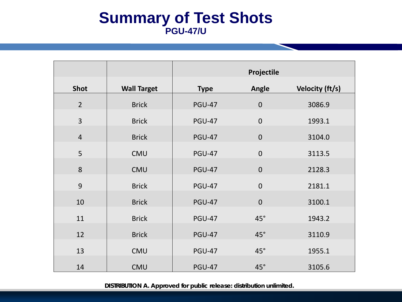#### **Summary of Test Shots PGU-47/U**

|                |                    | Projectile    |                |                 |
|----------------|--------------------|---------------|----------------|-----------------|
| <b>Shot</b>    | <b>Wall Target</b> | <b>Type</b>   | Angle          | Velocity (ft/s) |
| $\overline{2}$ | <b>Brick</b>       | <b>PGU-47</b> | $\mathbf 0$    | 3086.9          |
| $\overline{3}$ | <b>Brick</b>       | <b>PGU-47</b> | $\mathbf 0$    | 1993.1          |
| $\overline{4}$ | <b>Brick</b>       | <b>PGU-47</b> | $\overline{0}$ | 3104.0          |
| 5              | CMU                | <b>PGU-47</b> | $\mathbf 0$    | 3113.5          |
| 8              | CMU                | <b>PGU-47</b> | $\overline{0}$ | 2128.3          |
| 9              | <b>Brick</b>       | <b>PGU-47</b> | $\overline{0}$ | 2181.1          |
| 10             |                    |               | $\overline{0}$ |                 |
|                | <b>Brick</b>       | <b>PGU-47</b> |                | 3100.1          |
| 11             | <b>Brick</b>       | <b>PGU-47</b> | $45^\circ$     | 1943.2          |
| 12             | <b>Brick</b>       | <b>PGU-47</b> | $45^\circ$     | 3110.9          |
| 13             | <b>CMU</b>         | <b>PGU-47</b> | $45^\circ$     | 1955.1          |
| 14             | <b>CMU</b>         | <b>PGU-47</b> | $45^\circ$     | 3105.6          |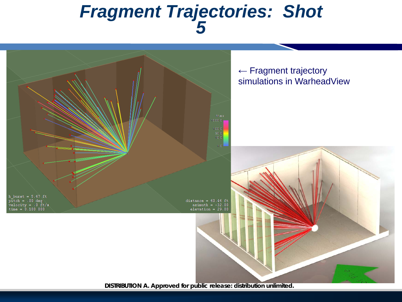#### *Fragment Trajectories: Shot 5*

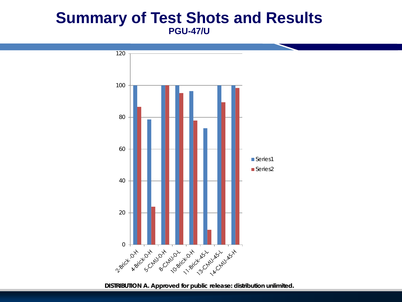#### **Summary of Test Shots and Results PGU-47/U**



**DISTRIBUTION A. Approved for public release: distribution unlimited.**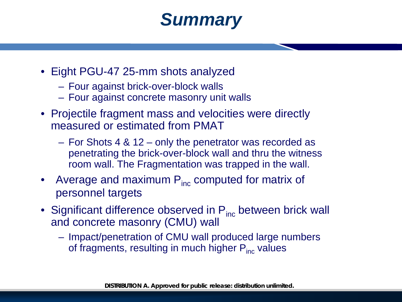### *Summary*

- Eight PGU-47 25-mm shots analyzed
	- Four against brick-over-block walls
	- Four against concrete masonry unit walls
- Projectile fragment mass and velocities were directly measured or estimated from PMAT
	- For Shots 4 & 12 only the penetrator was recorded as penetrating the brick-over-block wall and thru the witness room wall. The Fragmentation was trapped in the wall.
- Average and maximum  $P_{inc}$  computed for matrix of personnel targets
- Significant difference observed in  $P_{inc}$  between brick wall and concrete masonry (CMU) wall
	- Impact/penetration of CMU wall produced large numbers of fragments, resulting in much higher  $P_{inc}$  values